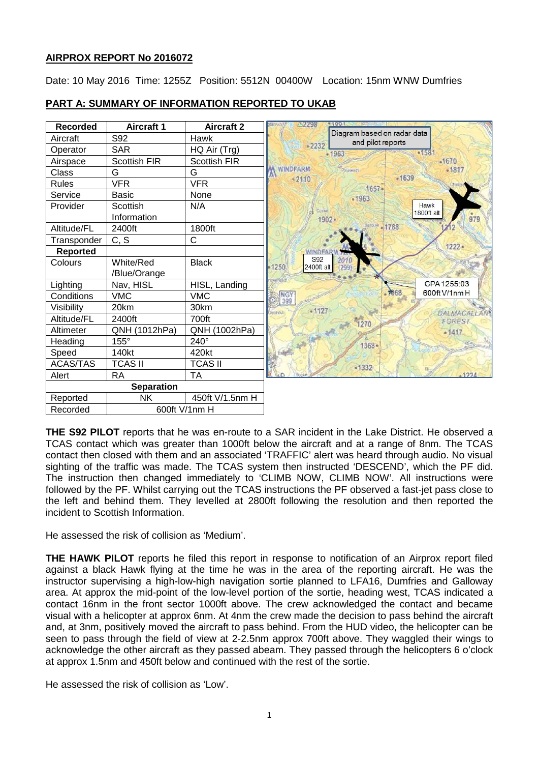# **AIRPROX REPORT No 2016072**

Date: 10 May 2016 Time: 1255Z Position: 5512N 00400W Location: 15nm WNW Dumfries

#### **PART A: SUMMARY OF INFORMATION REPORTED TO UKAB** 22298  $(601$



**THE S92 PILOT** reports that he was en-route to a SAR incident in the Lake District. He observed a TCAS contact which was greater than 1000ft below the aircraft and at a range of 8nm. The TCAS contact then closed with them and an associated 'TRAFFIC' alert was heard through audio. No visual sighting of the traffic was made. The TCAS system then instructed 'DESCEND', which the PF did. The instruction then changed immediately to 'CLIMB NOW, CLIMB NOW'. All instructions were followed by the PF. Whilst carrying out the TCAS instructions the PF observed a fast-jet pass close to the left and behind them. They levelled at 2800ft following the resolution and then reported the incident to Scottish Information.

He assessed the risk of collision as 'Medium'.

**THE HAWK PILOT** reports he filed this report in response to notification of an Airprox report filed against a black Hawk flying at the time he was in the area of the reporting aircraft. He was the instructor supervising a high-low-high navigation sortie planned to LFA16, Dumfries and Galloway area. At approx the mid-point of the low-level portion of the sortie, heading west, TCAS indicated a contact 16nm in the front sector 1000ft above. The crew acknowledged the contact and became visual with a helicopter at approx 6nm. At 4nm the crew made the decision to pass behind the aircraft and, at 3nm, positively moved the aircraft to pass behind. From the HUD video, the helicopter can be seen to pass through the field of view at 2-2.5nm approx 700ft above. They waggled their wings to acknowledge the other aircraft as they passed abeam. They passed through the helicopters 6 o'clock at approx 1.5nm and 450ft below and continued with the rest of the sortie.

He assessed the risk of collision as 'Low'.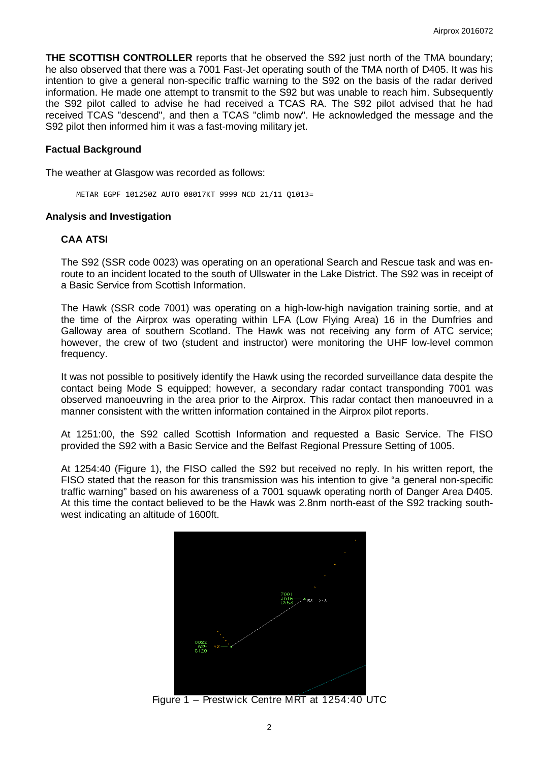**THE SCOTTISH CONTROLLER** reports that he observed the S92 just north of the TMA boundary; he also observed that there was a 7001 Fast-Jet operating south of the TMA north of D405. It was his intention to give a general non-specific traffic warning to the S92 on the basis of the radar derived information. He made one attempt to transmit to the S92 but was unable to reach him. Subsequently the S92 pilot called to advise he had received a TCAS RA. The S92 pilot advised that he had received TCAS "descend", and then a TCAS "climb now". He acknowledged the message and the S92 pilot then informed him it was a fast-moving military jet.

#### **Factual Background**

The weather at Glasgow was recorded as follows:

METAR EGPF 101250Z AUTO 08017KT 9999 NCD 21/11 Q1013=

#### **Analysis and Investigation**

#### **CAA ATSI**

The S92 (SSR code 0023) was operating on an operational Search and Rescue task and was enroute to an incident located to the south of Ullswater in the Lake District. The S92 was in receipt of a Basic Service from Scottish Information.

The Hawk (SSR code 7001) was operating on a high-low-high navigation training sortie, and at the time of the Airprox was operating within LFA (Low Flying Area) 16 in the Dumfries and Galloway area of southern Scotland. The Hawk was not receiving any form of ATC service; however, the crew of two (student and instructor) were monitoring the UHF low-level common frequency.

It was not possible to positively identify the Hawk using the recorded surveillance data despite the contact being Mode S equipped; however, a secondary radar contact transponding 7001 was observed manoeuvring in the area prior to the Airprox. This radar contact then manoeuvred in a manner consistent with the written information contained in the Airprox pilot reports.

At 1251:00, the S92 called Scottish Information and requested a Basic Service. The FISO provided the S92 with a Basic Service and the Belfast Regional Pressure Setting of 1005.

At 1254:40 (Figure 1), the FISO called the S92 but received no reply. In his written report, the FISO stated that the reason for this transmission was his intention to give "a general non-specific traffic warning" based on his awareness of a 7001 squawk operating north of Danger Area D405. At this time the contact believed to be the Hawk was 2.8nm north-east of the S92 tracking southwest indicating an altitude of 1600ft.



Figure 1 – Prestw ick Centre MRT at 1254:40 UTC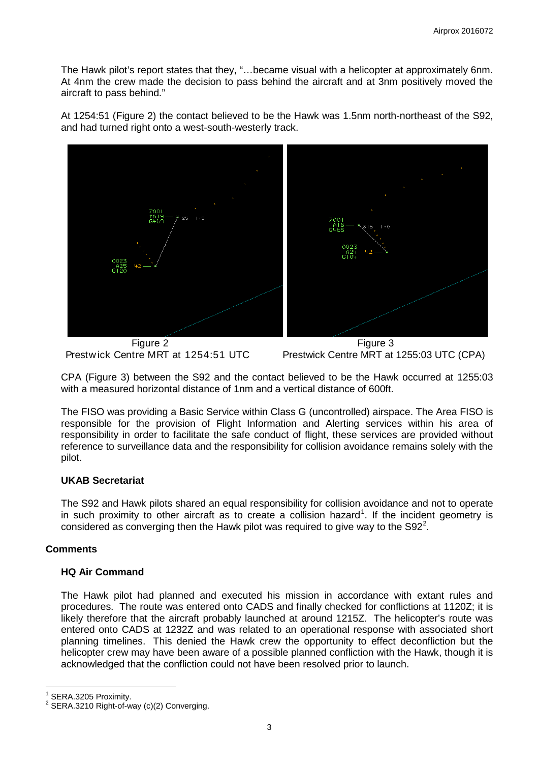The Hawk pilot's report states that they, "…became visual with a helicopter at approximately 6nm. At 4nm the crew made the decision to pass behind the aircraft and at 3nm positively moved the aircraft to pass behind."

At 1254:51 (Figure 2) the contact believed to be the Hawk was 1.5nm north-northeast of the S92, and had turned right onto a west-south-westerly track.



Prestwick Centre MRT at 1254:51 UTC Prestwick Centre MRT at 1255:03 UTC (CPA)

CPA (Figure 3) between the S92 and the contact believed to be the Hawk occurred at 1255:03 with a measured horizontal distance of 1nm and a vertical distance of 600ft.

The FISO was providing a Basic Service within Class G (uncontrolled) airspace. The Area FISO is responsible for the provision of Flight Information and Alerting services within his area of responsibility in order to facilitate the safe conduct of flight, these services are provided without reference to surveillance data and the responsibility for collision avoidance remains solely with the pilot.

# **UKAB Secretariat**

The S92 and Hawk pilots shared an equal responsibility for collision avoidance and not to operate in such proximity to other aircraft as to create a collision hazard<sup>[1](#page-2-0)</sup>. If the incident geometry is considered as converging then the Hawk pilot was required to give way to the S9[2](#page-2-1)<sup>2</sup>.

# **Comments**

# **HQ Air Command**

The Hawk pilot had planned and executed his mission in accordance with extant rules and procedures. The route was entered onto CADS and finally checked for conflictions at 1120Z; it is likely therefore that the aircraft probably launched at around 1215Z. The helicopter's route was entered onto CADS at 1232Z and was related to an operational response with associated short planning timelines. This denied the Hawk crew the opportunity to effect deconfliction but the helicopter crew may have been aware of a possible planned confliction with the Hawk, though it is acknowledged that the confliction could not have been resolved prior to launch.

<span id="page-2-1"></span><span id="page-2-0"></span>

SERA.3205 Proximity.<br>SERA.3210 Right-of-way (c)(2) Converging.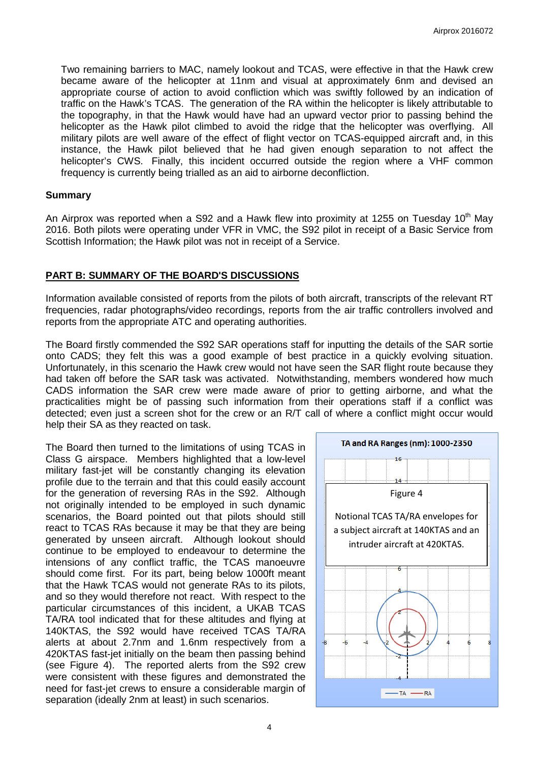Two remaining barriers to MAC, namely lookout and TCAS, were effective in that the Hawk crew became aware of the helicopter at 11nm and visual at approximately 6nm and devised an appropriate course of action to avoid confliction which was swiftly followed by an indication of traffic on the Hawk's TCAS. The generation of the RA within the helicopter is likely attributable to the topography, in that the Hawk would have had an upward vector prior to passing behind the helicopter as the Hawk pilot climbed to avoid the ridge that the helicopter was overflying. All military pilots are well aware of the effect of flight vector on TCAS-equipped aircraft and, in this instance, the Hawk pilot believed that he had given enough separation to not affect the helicopter's CWS. Finally, this incident occurred outside the region where a VHF common frequency is currently being trialled as an aid to airborne deconfliction.

#### **Summary**

An Airprox was reported when a S92 and a Hawk flew into proximity at 1255 on Tuesday 10<sup>th</sup> May 2016. Both pilots were operating under VFR in VMC, the S92 pilot in receipt of a Basic Service from Scottish Information; the Hawk pilot was not in receipt of a Service.

### **PART B: SUMMARY OF THE BOARD'S DISCUSSIONS**

Information available consisted of reports from the pilots of both aircraft, transcripts of the relevant RT frequencies, radar photographs/video recordings, reports from the air traffic controllers involved and reports from the appropriate ATC and operating authorities.

The Board firstly commended the S92 SAR operations staff for inputting the details of the SAR sortie onto CADS; they felt this was a good example of best practice in a quickly evolving situation. Unfortunately, in this scenario the Hawk crew would not have seen the SAR flight route because they had taken off before the SAR task was activated. Notwithstanding, members wondered how much CADS information the SAR crew were made aware of prior to getting airborne, and what the practicalities might be of passing such information from their operations staff if a conflict was detected; even just a screen shot for the crew or an R/T call of where a conflict might occur would help their SA as they reacted on task.

The Board then turned to the limitations of using TCAS in Class G airspace. Members highlighted that a low-level military fast-jet will be constantly changing its elevation profile due to the terrain and that this could easily account for the generation of reversing RAs in the S92. Although not originally intended to be employed in such dynamic scenarios, the Board pointed out that pilots should still react to TCAS RAs because it may be that they are being generated by unseen aircraft. Although lookout should continue to be employed to endeavour to determine the intensions of any conflict traffic, the TCAS manoeuvre should come first. For its part, being below 1000ft meant that the Hawk TCAS would not generate RAs to its pilots, and so they would therefore not react. With respect to the particular circumstances of this incident, a UKAB TCAS TA/RA tool indicated that for these altitudes and flying at 140KTAS, the S92 would have received TCAS TA/RA alerts at about 2.7nm and 1.6nm respectively from a 420KTAS fast-jet initially on the beam then passing behind (see Figure 4). The reported alerts from the S92 crew were consistent with these figures and demonstrated the need for fast-jet crews to ensure a considerable margin of separation (ideally 2nm at least) in such scenarios.